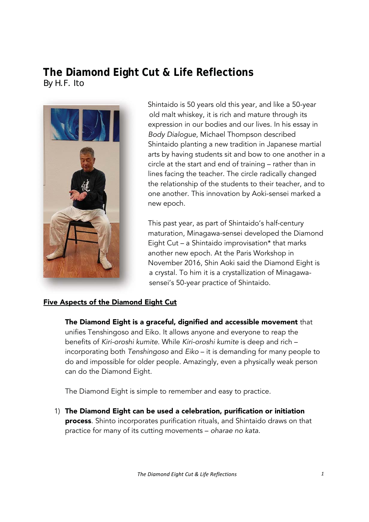# **The Diamond Eight Cut & Life Reflections**  By H.F. Ito



Shintaido is 50 years old this year, and like a 50-year old malt whiskey, it is rich and mature through its expression in our bodies and our lives. In his essay in *Body Dialogue*, Michael Thompson described Shintaido planting a new tradition in Japanese martial arts by having students sit and bow to one another in a circle at the start and end of training – rather than in lines facing the teacher. The circle radically changed the relationship of the students to their teacher, and to one another. This innovation by Aoki-sensei marked a new epoch.

This past year, as part of Shintaido's half-century maturation, Minagawa-sensei developed the Diamond Eight Cut – a Shintaido improvisation\* that marks another new epoch. At the Paris Workshop in November 2016, Shin Aoki said the Diamond Eight is a crystal. To him it is a crystallization of Minagawasensei's 50-year practice of Shintaido.

### Five Aspects of the Diamond Eight Cut

The Diamond Eight is a graceful, dignified and accessible movement that unifies Tenshingoso and Eiko. It allows anyone and everyone to reap the benefits of *Kiri-oroshi kumite*. While *Kiri-oroshi kumite* is deep and rich – incorporating both *Tenshingoso* and *Eiko* – it is demanding for many people to do and impossible for older people. Amazingly, even a physically weak person can do the Diamond Eight.

The Diamond Eight is simple to remember and easy to practice.

1) The Diamond Eight can be used a celebration, purification or initiation process. Shinto incorporates purification rituals, and Shintaido draws on that practice for many of its cutting movements – *oharae no kata*.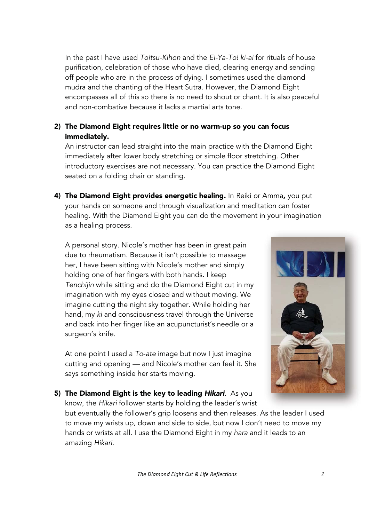In the past I have used *Toitsu-Kihon* and the *Ei-Ya-To! ki-ai* for rituals of house purification, celebration of those who have died, clearing energy and sending off people who are in the process of dying. I sometimes used the diamond mudra and the chanting of the Heart Sutra. However, the Diamond Eight encompasses all of this so there is no need to shout or chant. It is also peaceful and non-combative because it lacks a martial arts tone.

### 2) The Diamond Eight requires little or no warm-up so you can focus immediately.

An instructor can lead straight into the main practice with the Diamond Eight immediately after lower body stretching or simple floor stretching. Other introductory exercises are not necessary. You can practice the Diamond Eight seated on a folding chair or standing.

4) The Diamond Eight provides energetic healing. In Reiki or Amma, you put your hands on someone and through visualization and meditation can foster healing. With the Diamond Eight you can do the movement in your imagination as a healing process.

A personal story. Nicole's mother has been in great pain due to rheumatism. Because it isn't possible to massage her, I have been sitting with Nicole's mother and simply holding one of her fingers with both hands. I keep *Tenchijin* while sitting and do the Diamond Eight cut in my imagination with my eyes closed and without moving. We imagine cutting the night sky together. While holding her hand, my *ki* and consciousness travel through the Universe and back into her finger like an acupuncturist's needle or a surgeon's knife.

At one point I used a *To*-*ate* image but now I just imagine cutting and opening — and Nicole's mother can feel it. She says something inside her starts moving.



5) The Diamond Eight is the key to leading *Hikari*. As you know, the *Hikari* follower starts by holding the leader's wrist

but eventually the follower's grip loosens and then releases. As the leader I used to move my wrists up, down and side to side, but now I don't need to move my hands or wrists at all. I use the Diamond Eight in my *hara* and it leads to an amazing *Hikari*.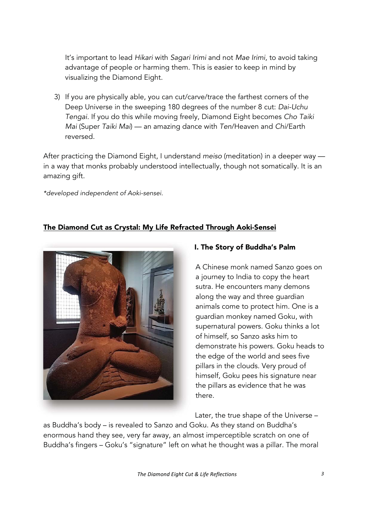It's important to lead *Hikari* with *Sagari Irimi* and not *Mae Irimi*, to avoid taking advantage of people or harming them. This is easier to keep in mind by visualizing the Diamond Eight.

3) If you are physically able, you can cut/carve/trace the farthest corners of the Deep Universe in the sweeping 180 degrees of the number 8 cut: *Dai-Uchu Tengai.* If you do this while moving freely, Diamond Eight becomes *Cho Taiki Mai* (Super *Taiki Mai*) — an amazing dance with *Ten*/Heaven and *Chi*/Earth reversed.

After practicing the Diamond Eight, I understand *meiso* (meditation) in a deeper way in a way that monks probably understood intellectually, though not somatically. It is an amazing gift.

*\*developed independent of Aoki-sensei.* 

# The Diamond Cut as Crystal: My Life Refracted Through Aoki-Sensei



## I. The Story of Buddha's Palm

A Chinese monk named Sanzo goes on a journey to India to copy the heart sutra. He encounters many demons along the way and three guardian animals come to protect him. One is a guardian monkey named Goku, with supernatural powers. Goku thinks a lot of himself, so Sanzo asks him to demonstrate his powers. Goku heads to the edge of the world and sees five pillars in the clouds. Very proud of himself, Goku pees his signature near the pillars as evidence that he was there.

Later, the true shape of the Universe –

as Buddha's body – is revealed to Sanzo and Goku. As they stand on Buddha's enormous hand they see, very far away, an almost imperceptible scratch on one of Buddha's fingers – Goku's "signature" left on what he thought was a pillar. The moral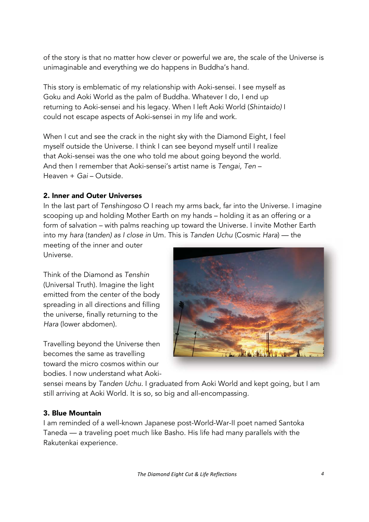of the story is that no matter how clever or powerful we are, the scale of the Universe is unimaginable and everything we do happens in Buddha's hand.

This story is emblematic of my relationship with Aoki-sensei. I see myself as Goku and Aoki World as the palm of Buddha. Whatever I do, I end up returning to Aoki-sensei and his legacy. When I left Aoki World (*Shintaido)* I could not escape aspects of Aoki-sensei in my life and work.

When I cut and see the crack in the night sky with the Diamond Eight, I feel myself outside the Universe. I think I can see beyond myself until I realize that Aoki-sensei was the one who told me about going beyond the world. And then I remember that Aoki-sensei's artist name is *Tengai, Ten* – Heaven + *Gai* – Outside.

### 2. Inner and Outer Universes

In the last part of *Tenshingoso* O I reach my arms back, far into the Universe. I imagine scooping up and holding Mother Earth on my hands – holding it as an offering or a form of salvation – with palms reaching up toward the Universe. I invite Mother Earth into my *hara* (*tanden) as I close in* Um*.* This is *Tanden Uchu* (Cosmic *Hara*) — the ( )

meeting of the inner and outer Universe.

Think of the Diamond as *Tenshin* (Universal Truth). Imagine the light emitted from the center of the body spreading in all directions and filling the universe, finally returning to the *Hara* (lower abdomen).

Travelling beyond the Universe then becomes the same as travelling toward the micro cosmos within our bodies. I now understand what Aoki-



sensei means by *Tanden Uchu.* I graduated from Aoki World and kept going, but I am still arriving at Aoki World. It is so, so big and all-encompassing.

### 3. Blue Mountain

I am reminded of a well-known Japanese post-World-War-II poet named Santoka Taneda — a traveling poet much like Basho. His life had many parallels with the Rakutenkai experience.